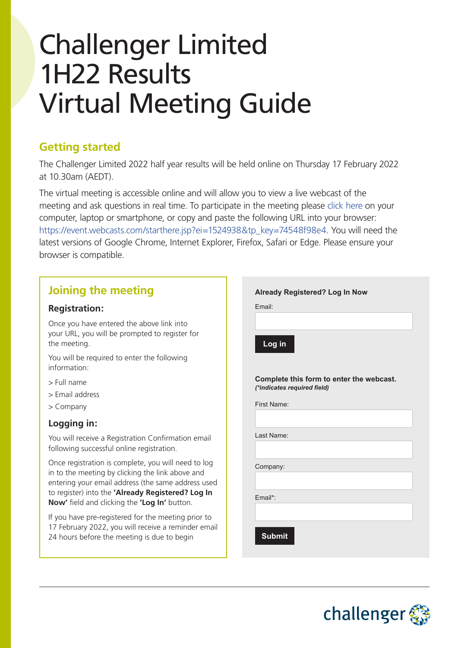# Challenger Limited 1H22 Results Virtual Meeting Guide

# **Getting started**

The Challenger Limited 2022 half year results will be held online on Thursday 17 February 2022 at 10.30am (AEDT).

The virtual meeting is accessible online and will allow you to view a live webcast of the meeting and ask questions in real time. To participate in the meeting please [click here](https://event.webcasts.com/starthere.jsp?ei=1524938&tp_key=74548f98e4) on your computer, laptop or smartphone, or copy and paste the following URL into your browser: [https://event.webcasts.com/starthere.jsp?ei=1524938&tp\\_key=74548f98e4](https://event.webcasts.com/starthere.jsp?ei=1524938&tp_key=74548f98e4). You will need the latest versions of Google Chrome, Internet Explorer, Firefox, Safari or Edge. Please ensure your browser is compatible.

# **Joining the meeting**

#### **Registration:**

Once you have entered the above link into your URL, you will be prompted to register for the meeting.

You will be required to enter the following information:

- > Full name
- > Email address
- > Company

### **Logging in:**

You will receive a Registration Confirmation email following successful online registration.

Once registration is complete, you will need to log in to the meeting by clicking the link above and entering your email address (the same address used to register) into the **'Already Registered? Log In Now'** field and clicking the **'Log In'** button.

If you have pre-registered for the meeting prior to 17 February 2022, you will receive a reminder email 24 hours before the meeting is due to begin

|                             | <b>Already Registered? Log In Now</b> |                                          |  |
|-----------------------------|---------------------------------------|------------------------------------------|--|
| Email:                      |                                       |                                          |  |
|                             |                                       |                                          |  |
| Log in                      |                                       |                                          |  |
| (*indicates required field) |                                       | Complete this form to enter the webcast. |  |
| First Name:                 |                                       |                                          |  |
|                             |                                       |                                          |  |
| Last Name:                  |                                       |                                          |  |
| Company:                    |                                       |                                          |  |
|                             |                                       |                                          |  |
| Fmail*:                     |                                       |                                          |  |
|                             |                                       |                                          |  |
|                             |                                       |                                          |  |
| <b>Submit</b>               |                                       |                                          |  |

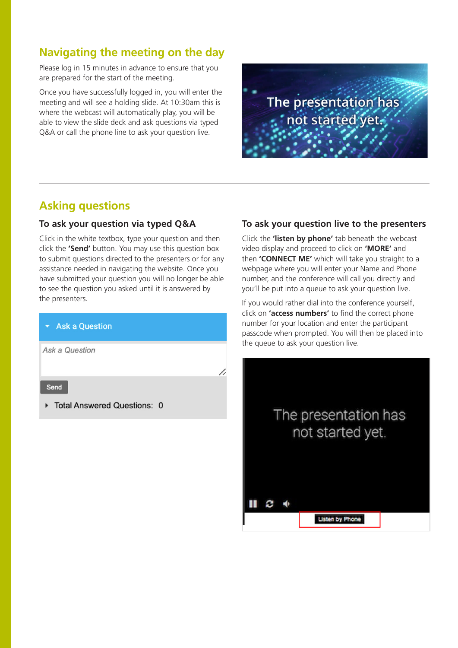## **Navigating the meeting on the day**

Please log in 15 minutes in advance to ensure that you are prepared for the start of the meeting.

Once you have successfully logged in, you will enter the meeting and will see a holding slide. At 10:30am this is where the webcast will automatically play, you will be able to view the slide deck and ask questions via typed Q&A or call the phone line to ask your question live.



## **Asking questions**

#### **To ask your question via typed Q&A**

Click in the white textbox, type your question and then click the **'Send'** button. You may use this question box to submit questions directed to the presenters or for any assistance needed in navigating the website. Once you have submitted your question you will no longer be able to see the question you asked until it is answered by the presenters.

#### **Ask a Question**

Ask a Question

Send

▶ Total Answered Questions: 0

#### **To ask your question live to the presenters**

Click the **'listen by phone'** tab beneath the webcast video display and proceed to click on **'MORE'** and then **'CONNECT ME'** which will take you straight to a webpage where you will enter your Name and Phone number, and the conference will call you directly and you'll be put into a queue to ask your question live.

If you would rather dial into the conference yourself, click on **'access numbers'** to find the correct phone number for your location and enter the participant passcode when prompted. You will then be placed into the queue to ask your question live.